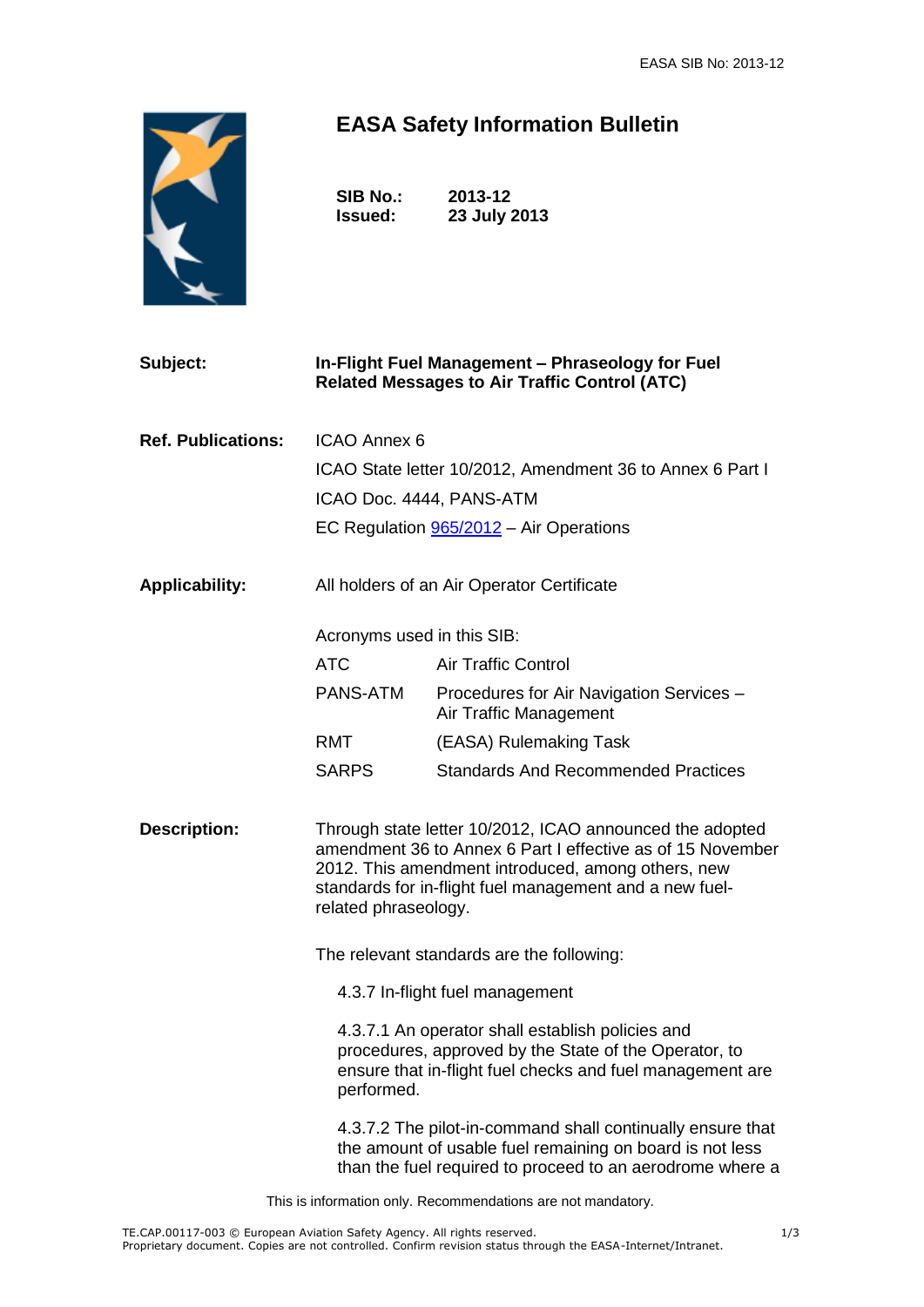

## **EASA Safety Information Bulletin**

**SIB No.: 2013-12 Issued: 23 July 2013**

| Subject:                  | In-Flight Fuel Management - Phraseology for Fuel                                                                                                                                                                                                                |                                                                                                                                                                                     |
|---------------------------|-----------------------------------------------------------------------------------------------------------------------------------------------------------------------------------------------------------------------------------------------------------------|-------------------------------------------------------------------------------------------------------------------------------------------------------------------------------------|
|                           |                                                                                                                                                                                                                                                                 | <b>Related Messages to Air Traffic Control (ATC)</b>                                                                                                                                |
| <b>Ref. Publications:</b> | ICAO Annex 6                                                                                                                                                                                                                                                    |                                                                                                                                                                                     |
|                           |                                                                                                                                                                                                                                                                 |                                                                                                                                                                                     |
|                           | ICAO State letter 10/2012, Amendment 36 to Annex 6 Part I                                                                                                                                                                                                       |                                                                                                                                                                                     |
|                           | ICAO Doc. 4444, PANS-ATM                                                                                                                                                                                                                                        |                                                                                                                                                                                     |
|                           | EC Regulation 965/2012 - Air Operations                                                                                                                                                                                                                         |                                                                                                                                                                                     |
| <b>Applicability:</b>     | All holders of an Air Operator Certificate                                                                                                                                                                                                                      |                                                                                                                                                                                     |
|                           | Acronyms used in this SIB:                                                                                                                                                                                                                                      |                                                                                                                                                                                     |
|                           | <b>ATC</b>                                                                                                                                                                                                                                                      | <b>Air Traffic Control</b>                                                                                                                                                          |
|                           | PANS-ATM                                                                                                                                                                                                                                                        | Procedures for Air Navigation Services -<br>Air Traffic Management                                                                                                                  |
|                           | <b>RMT</b>                                                                                                                                                                                                                                                      | (EASA) Rulemaking Task                                                                                                                                                              |
|                           | <b>SARPS</b>                                                                                                                                                                                                                                                    | <b>Standards And Recommended Practices</b>                                                                                                                                          |
| <b>Description:</b>       | Through state letter 10/2012, ICAO announced the adopted<br>amendment 36 to Annex 6 Part I effective as of 15 November<br>2012. This amendment introduced, among others, new<br>standards for in-flight fuel management and a new fuel-<br>related phraseology. |                                                                                                                                                                                     |
|                           | The relevant standards are the following:                                                                                                                                                                                                                       |                                                                                                                                                                                     |
|                           | 4.3.7 In-flight fuel management                                                                                                                                                                                                                                 |                                                                                                                                                                                     |
|                           | 4.3.7.1 An operator shall establish policies and<br>procedures, approved by the State of the Operator, to<br>ensure that in-flight fuel checks and fuel management are<br>performed.                                                                            |                                                                                                                                                                                     |
|                           |                                                                                                                                                                                                                                                                 | 4.3.7.2 The pilot-in-command shall continually ensure that<br>the amount of usable fuel remaining on board is not less<br>than the fuel required to proceed to an aerodrome where a |

This is information only. Recommendations are not mandatory.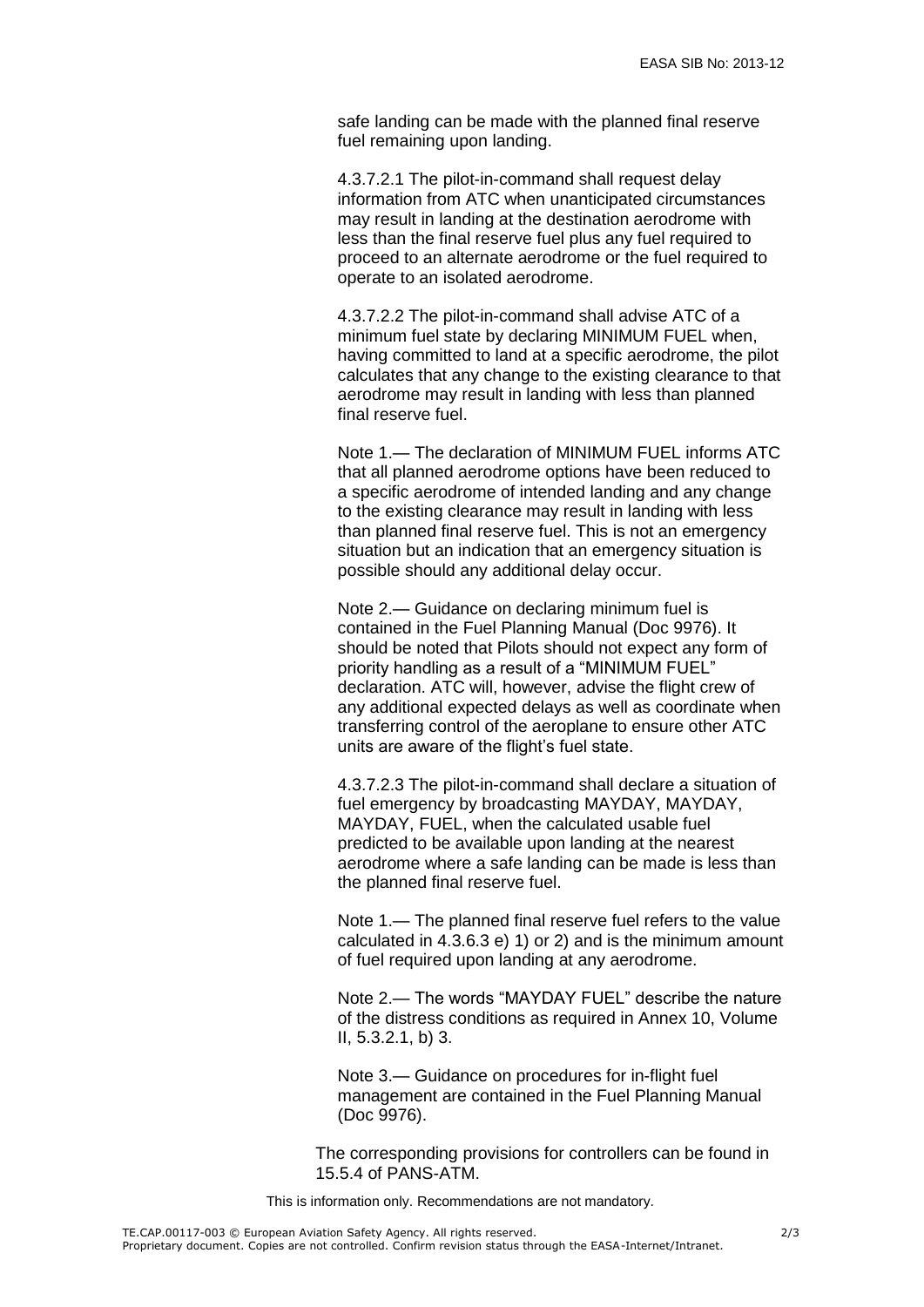safe landing can be made with the planned final reserve fuel remaining upon landing.

4.3.7.2.1 The pilot-in-command shall request delay information from ATC when unanticipated circumstances may result in landing at the destination aerodrome with less than the final reserve fuel plus any fuel required to proceed to an alternate aerodrome or the fuel required to operate to an isolated aerodrome.

4.3.7.2.2 The pilot-in-command shall advise ATC of a minimum fuel state by declaring MINIMUM FUEL when, having committed to land at a specific aerodrome, the pilot calculates that any change to the existing clearance to that aerodrome may result in landing with less than planned final reserve fuel.

Note 1.— The declaration of MINIMUM FUEL informs ATC that all planned aerodrome options have been reduced to a specific aerodrome of intended landing and any change to the existing clearance may result in landing with less than planned final reserve fuel. This is not an emergency situation but an indication that an emergency situation is possible should any additional delay occur.

Note 2.— Guidance on declaring minimum fuel is contained in the Fuel Planning Manual (Doc 9976). It should be noted that Pilots should not expect any form of priority handling as a result of a "MINIMUM FUEL" declaration. ATC will, however, advise the flight crew of any additional expected delays as well as coordinate when transferring control of the aeroplane to ensure other ATC units are aware of the flight's fuel state.

4.3.7.2.3 The pilot-in-command shall declare a situation of fuel emergency by broadcasting MAYDAY, MAYDAY, MAYDAY, FUEL, when the calculated usable fuel predicted to be available upon landing at the nearest aerodrome where a safe landing can be made is less than the planned final reserve fuel.

Note 1.— The planned final reserve fuel refers to the value calculated in 4.3.6.3 e) 1) or 2) and is the minimum amount of fuel required upon landing at any aerodrome.

Note 2.— The words "MAYDAY FUEL" describe the nature of the distress conditions as required in Annex 10, Volume II, 5.3.2.1, b) 3.

Note 3.— Guidance on procedures for in-flight fuel management are contained in the Fuel Planning Manual (Doc 9976).

The corresponding provisions for controllers can be found in 15.5.4 of PANS-ATM.

This is information only. Recommendations are not mandatory.